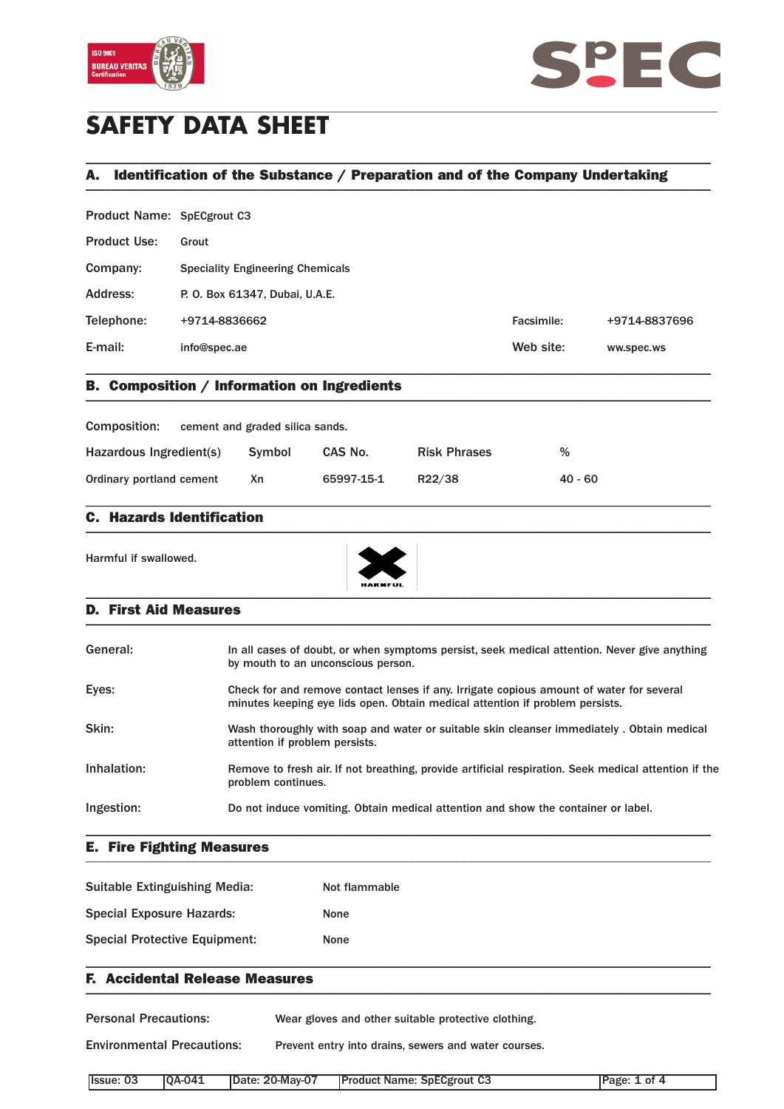



# **SAFETY DATA SHEET**

## A. Identification of the Substance / Preparation and of the Company Undertaking \_\_\_\_\_\_\_\_\_\_\_\_\_\_\_\_\_\_\_\_\_\_\_\_\_\_\_\_\_\_\_\_\_\_\_\_\_\_\_\_\_\_\_\_\_\_\_\_\_\_\_\_\_\_\_\_\_\_\_\_\_\_\_\_\_\_\_\_\_\_\_\_\_\_\_\_\_\_\_\_\_\_\_\_\_\_\_\_\_\_\_\_\_\_\_

\_\_\_\_\_\_\_\_\_\_\_\_\_\_\_\_\_\_\_\_\_\_\_\_\_\_\_\_\_\_\_\_\_\_\_\_\_\_\_\_\_\_\_\_\_\_\_\_\_\_\_\_\_\_\_\_\_\_\_\_\_\_\_\_\_\_\_\_\_\_\_\_\_\_\_\_\_\_\_\_\_\_\_\_\_\_\_\_\_\_\_\_\_\_\_

Product Name: SpECgrout C3

| <b>Product Use:</b> | Grout                                   |            |               |
|---------------------|-----------------------------------------|------------|---------------|
| Company:            | <b>Speciality Engineering Chemicals</b> |            |               |
| Address:            | P. O. Box 61347, Dubai, U.A.E.          |            |               |
| Telephone:          | +9714-8836662                           | Facsimile: | +9714-8837696 |
| E-mail:             | info@spec.ae                            | Web site:  | ww.spec.ws    |
|                     |                                         |            |               |

### B. Composition / Information on Ingredients \_\_\_\_\_\_\_\_\_\_\_\_\_\_\_\_\_\_\_\_\_\_\_\_\_\_\_\_\_\_\_\_\_\_\_\_\_\_\_\_\_\_\_\_\_\_\_\_\_\_\_\_\_\_\_\_\_\_\_\_\_\_\_\_\_\_\_\_\_\_\_\_\_\_\_\_\_\_\_\_\_\_\_\_\_\_\_\_\_\_\_\_\_\_\_

| Composition:             | cement and graded silica sands. |            |                     |           |
|--------------------------|---------------------------------|------------|---------------------|-----------|
| Hazardous Ingredient(s)  | Symbol                          | CAS No.    | <b>Risk Phrases</b> | %         |
| Ordinary portland cement | Χn                              | 65997-15-1 | R22/38              | $40 - 60$ |

\_\_\_\_\_\_\_\_\_\_\_\_\_\_\_\_\_\_\_\_\_\_\_\_\_\_\_\_\_\_\_\_\_\_\_\_\_\_\_\_\_\_\_\_\_\_\_\_\_\_\_\_\_\_\_\_\_\_\_\_\_\_\_\_\_\_\_\_\_\_\_\_\_\_\_\_\_\_\_\_\_\_\_\_\_\_\_\_\_\_\_\_\_\_\_

### C. Hazards Identification  $\blacksquare$

Harmful if swallowed.



#### D. First Aid Measures \_\_\_\_\_\_\_\_\_\_\_\_\_\_\_\_\_\_\_\_\_\_\_\_\_\_\_\_\_\_\_\_\_\_\_\_\_\_\_\_\_\_\_\_\_\_\_\_\_\_\_\_\_\_\_\_\_\_\_\_\_\_\_\_\_\_\_\_\_\_\_\_\_\_\_\_\_\_\_\_\_\_\_\_\_\_\_\_\_\_\_\_\_\_\_

| In all cases of doubt, or when symptoms persist, seek medical attention. Never give anything<br>by mouth to an unconscious person.                                       |
|--------------------------------------------------------------------------------------------------------------------------------------------------------------------------|
| Check for and remove contact lenses if any. Irrigate copious amount of water for several<br>minutes keeping eye lids open. Obtain medical attention if problem persists. |
| Wash thoroughly with soap and water or suitable skin cleanser immediately. Obtain medical<br>attention if problem persists.                                              |
| Remove to fresh air. If not breathing, provide artificial respiration. Seek medical attention if the<br>problem continues.                                               |
| Do not induce vomiting. Obtain medical attention and show the container or label.                                                                                        |
|                                                                                                                                                                          |

#### E. Fire Fighting Measures \_\_\_\_\_\_\_\_\_\_\_\_\_\_\_\_\_\_\_\_\_\_\_\_\_\_\_\_\_\_\_\_\_\_\_\_\_\_\_\_\_\_\_\_\_\_\_\_\_\_\_\_\_\_\_\_\_\_\_\_\_\_\_\_\_\_\_\_\_\_\_\_\_\_\_\_\_\_\_\_\_\_\_\_\_\_\_\_\_\_\_\_\_\_\_

| Suitable Extinguishing Media:        | Not flammable |
|--------------------------------------|---------------|
| <b>Special Exposure Hazards:</b>     | <b>None</b>   |
| <b>Special Protective Equipment:</b> | <b>None</b>   |

### F. Accidental Release Measures  $\blacksquare$

Personal Precautions: Wear gloves and other suitable protective clothing.

Environmental Precautions: Prevent entry into drains, sewers and water courses.

| Issue: 03 | $IOA-041$ | Date: 20-May-07 | <b>Product Name: SpECgrout C3</b> | Page: 1 of |
|-----------|-----------|-----------------|-----------------------------------|------------|

\_\_\_\_\_\_\_\_\_\_\_\_\_\_\_\_\_\_\_\_\_\_\_\_\_\_\_\_\_\_\_\_\_\_\_\_\_\_\_\_\_\_\_\_\_\_\_\_\_\_\_\_\_\_\_\_\_\_\_\_\_\_\_\_\_\_\_\_\_\_\_\_\_\_\_\_\_\_\_\_\_\_\_\_\_\_\_\_\_\_\_\_\_\_\_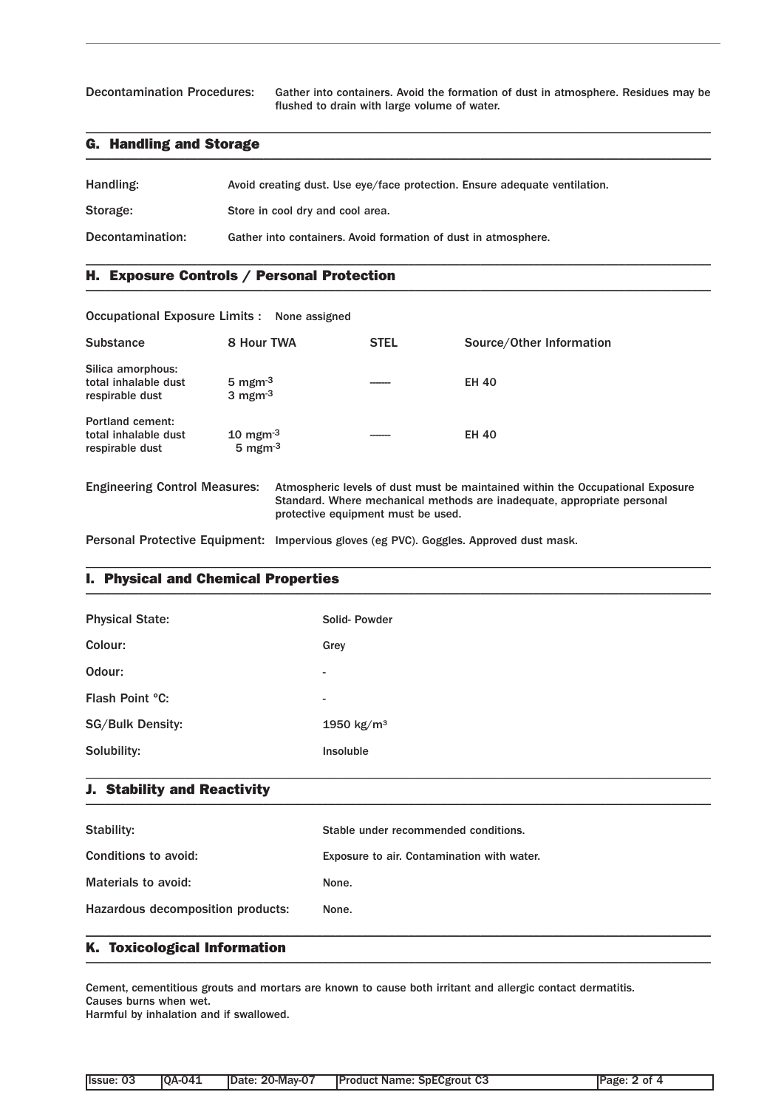Decontamination Procedures: Gather into containers. Avoid the formation of dust in atmosphere. Residues may be flushed to drain with large volume of water.

### G. Handling and Storage \_\_\_\_\_\_\_\_\_\_\_\_\_\_\_\_\_\_\_\_\_\_\_\_\_\_\_\_\_\_\_\_\_\_\_\_\_\_\_\_\_\_\_\_\_\_\_\_\_\_\_\_\_\_\_\_\_\_\_\_\_\_\_\_\_\_\_\_\_\_\_\_\_\_\_\_\_\_\_\_\_\_\_\_\_\_\_\_\_\_\_\_\_\_\_

| Handling:        | Avoid creating dust. Use eye/face protection. Ensure adequate ventilation. |
|------------------|----------------------------------------------------------------------------|
| Storage:         | Store in cool dry and cool area.                                           |
| Decontamination: | Gather into containers. Avoid formation of dust in atmosphere.             |

\_\_\_\_\_\_\_\_\_\_\_\_\_\_\_\_\_\_\_\_\_\_\_\_\_\_\_\_\_\_\_\_\_\_\_\_\_\_\_\_\_\_\_\_\_\_\_\_\_\_\_\_\_\_\_\_\_\_\_\_\_\_\_\_\_\_\_\_\_\_\_\_\_\_\_\_\_\_\_\_\_\_\_\_\_\_\_\_\_\_\_\_\_\_\_

\_\_\_\_\_\_\_\_\_\_\_\_\_\_\_\_\_\_\_\_\_\_\_\_\_\_\_\_\_\_\_\_\_\_\_\_\_\_\_\_\_\_\_\_\_\_\_\_\_\_\_\_\_\_\_\_\_\_\_\_\_\_\_\_\_\_\_\_\_\_\_\_\_\_\_\_\_\_\_\_\_\_\_\_\_\_\_\_\_\_\_\_\_\_\_

### H. Exposure Controls / Personal Protection \_\_\_\_\_\_\_\_\_\_\_\_\_\_\_\_\_\_\_\_\_\_\_\_\_\_\_\_\_\_\_\_\_\_\_\_\_\_\_\_\_\_\_\_\_\_\_\_\_\_\_\_\_\_\_\_\_\_\_\_\_\_\_\_\_\_\_\_\_\_\_\_\_\_\_\_\_\_\_\_\_\_\_\_\_\_\_\_\_\_\_\_\_\_\_

| Occupational Exposure Limits : None assigned                 |                                                   |                                    |                                                                                                                                                           |
|--------------------------------------------------------------|---------------------------------------------------|------------------------------------|-----------------------------------------------------------------------------------------------------------------------------------------------------------|
| <b>Substance</b>                                             | 8 Hour TWA                                        | <b>STEL</b>                        | Source/Other Information                                                                                                                                  |
| Silica amorphous:<br>total inhalable dust<br>respirable dust | 5 mgm $^{-3}$<br>$3 \text{ mm}^3$                 |                                    | <b>EH 40</b>                                                                                                                                              |
| Portland cement:<br>total inhalable dust<br>respirable dust  | $10 \text{ mgm}$ <sup>-3</sup><br>$5$ mgm $^{-3}$ |                                    | <b>EH 40</b>                                                                                                                                              |
| <b>Engineering Control Measures:</b>                         |                                                   | protective equipment must be used. | Atmospheric levels of dust must be maintained within the Occupational Exposure<br>Standard. Where mechanical methods are inadequate, appropriate personal |

Personal Protective Equipment: Impervious gloves (eg PVC). Goggles. Approved dust mask.

### I. Physical and Chemical Properties \_\_\_\_\_\_\_\_\_\_\_\_\_\_\_\_\_\_\_\_\_\_\_\_\_\_\_\_\_\_\_\_\_\_\_\_\_\_\_\_\_\_\_\_\_\_\_\_\_\_\_\_\_\_\_\_\_\_\_\_\_\_\_\_\_\_\_\_\_\_\_\_\_\_\_\_\_\_\_\_\_\_\_\_\_\_\_\_\_\_\_\_\_\_\_

| <b>Physical State:</b>  | Solid-Powder             |
|-------------------------|--------------------------|
| Colour:                 | Grey                     |
| Odour:                  | $\overline{\phantom{a}}$ |
| Flash Point °C:         | $\overline{\phantom{a}}$ |
| <b>SG/Bulk Density:</b> | 1950 $kg/m^3$            |
| Solubility:             | Insoluble                |
|                         |                          |

\_\_\_\_\_\_\_\_\_\_\_\_\_\_\_\_\_\_\_\_\_\_\_\_\_\_\_\_\_\_\_\_\_\_\_\_\_\_\_\_\_\_\_\_\_\_\_\_\_\_\_\_\_\_\_\_\_\_\_\_\_\_\_\_\_\_\_\_\_\_\_\_\_\_\_\_\_\_\_\_\_\_\_\_\_\_\_\_\_\_\_\_\_\_\_

#### J. Stability and Reactivity  $\blacksquare$

| Stability:                        | Stable under recommended conditions.       |
|-----------------------------------|--------------------------------------------|
| Conditions to avoid:              | Exposure to air. Contamination with water. |
| Materials to avoid:               | None.                                      |
| Hazardous decomposition products: | None.                                      |
|                                   |                                            |

### K. Toxicological Information \_\_\_\_\_\_\_\_\_\_\_\_\_\_\_\_\_\_\_\_\_\_\_\_\_\_\_\_\_\_\_\_\_\_\_\_\_\_\_\_\_\_\_\_\_\_\_\_\_\_\_\_\_\_\_\_\_\_\_\_\_\_\_\_\_\_\_\_\_\_\_\_\_\_\_\_\_\_\_\_\_\_\_\_\_\_\_\_\_\_\_\_\_\_\_

Cement, cementitious grouts and mortars are known to cause both irritant and allergic contact dermatitis. Causes burns when wet.

Harmful by inhalation and if swallowed.

| Issue: 03 | <b>0A-041</b> | Date: 20-Mav-07 | <b>Product Name: SpECgrout C3</b> | Page: 2 of 4 |
|-----------|---------------|-----------------|-----------------------------------|--------------|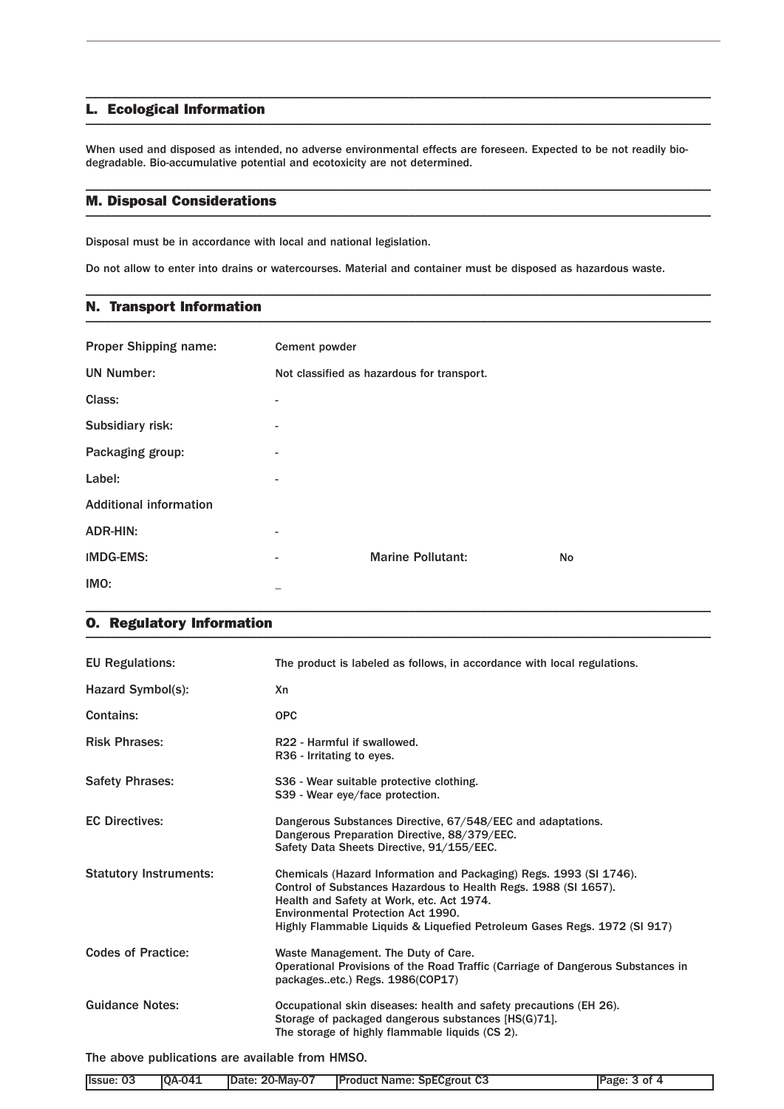#### L. Ecological Information \_\_\_\_\_\_\_\_\_\_\_\_\_\_\_\_\_\_\_\_\_\_\_\_\_\_\_\_\_\_\_\_\_\_\_\_\_\_\_\_\_\_\_\_\_\_\_\_\_\_\_\_\_\_\_\_\_\_\_\_\_\_\_\_\_\_\_\_\_\_\_\_\_\_\_\_\_\_\_\_\_\_\_\_\_\_\_\_\_\_\_\_\_\_\_

When used and disposed as intended, no adverse environmental effects are foreseen. Expected to be not readily biodegradable. Bio-accumulative potential and ecotoxicity are not determined.

\_\_\_\_\_\_\_\_\_\_\_\_\_\_\_\_\_\_\_\_\_\_\_\_\_\_\_\_\_\_\_\_\_\_\_\_\_\_\_\_\_\_\_\_\_\_\_\_\_\_\_\_\_\_\_\_\_\_\_\_\_\_\_\_\_\_\_\_\_\_\_\_\_\_\_\_\_\_\_\_\_\_\_\_\_\_\_\_\_\_\_\_\_\_\_

\_\_\_\_\_\_\_\_\_\_\_\_\_\_\_\_\_\_\_\_\_\_\_\_\_\_\_\_\_\_\_\_\_\_\_\_\_\_\_\_\_\_\_\_\_\_\_\_\_\_\_\_\_\_\_\_\_\_\_\_\_\_\_\_\_\_\_\_\_\_\_\_\_\_\_\_\_\_\_\_\_\_\_\_\_\_\_\_\_\_\_\_\_\_\_

\_\_\_\_\_\_\_\_\_\_\_\_\_\_\_\_\_\_\_\_\_\_\_\_\_\_\_\_\_\_\_\_\_\_\_\_\_\_\_\_\_\_\_\_\_\_\_\_\_\_\_\_\_\_\_\_\_\_\_\_\_\_\_\_\_\_\_\_\_\_\_\_\_\_\_\_\_\_\_\_\_\_\_\_\_\_\_\_\_\_\_\_\_\_\_

#### M. Disposal Considerations \_\_\_\_\_\_\_\_\_\_\_\_\_\_\_\_\_\_\_\_\_\_\_\_\_\_\_\_\_\_\_\_\_\_\_\_\_\_\_\_\_\_\_\_\_\_\_\_\_\_\_\_\_\_\_\_\_\_\_\_\_\_\_\_\_\_\_\_\_\_\_\_\_\_\_\_\_\_\_\_\_\_\_\_\_\_\_\_\_\_\_\_\_\_\_

Disposal must be in accordance with local and national legislation.

Do not allow to enter into drains or watercourses. Material and container must be disposed as hazardous waste.

### N. Transport Information \_\_\_\_\_\_\_\_\_\_\_\_\_\_\_\_\_\_\_\_\_\_\_\_\_\_\_\_\_\_\_\_\_\_\_\_\_\_\_\_\_\_\_\_\_\_\_\_\_\_\_\_\_\_\_\_\_\_\_\_\_\_\_\_\_\_\_\_\_\_\_\_\_\_\_\_\_\_\_\_\_\_\_\_\_\_\_\_\_\_\_\_\_\_\_

| <b>Proper Shipping name:</b>  | Cement powder            |                                            |    |
|-------------------------------|--------------------------|--------------------------------------------|----|
| <b>UN Number:</b>             |                          | Not classified as hazardous for transport. |    |
| Class:                        |                          |                                            |    |
| Subsidiary risk:              | ٠                        |                                            |    |
| Packaging group:              | $\overline{\phantom{a}}$ |                                            |    |
| Label:                        | ٠                        |                                            |    |
| <b>Additional information</b> |                          |                                            |    |
| <b>ADR-HIN:</b>               | $\overline{\phantom{0}}$ |                                            |    |
| <b>IMDG-EMS:</b>              | -                        | <b>Marine Pollutant:</b>                   | No |
| IMO:                          |                          |                                            |    |

\_\_\_\_\_\_\_\_\_\_\_\_\_\_\_\_\_\_\_\_\_\_\_\_\_\_\_\_\_\_\_\_\_\_\_\_\_\_\_\_\_\_\_\_\_\_\_\_\_\_\_\_\_\_\_\_\_\_\_\_\_\_\_\_\_\_\_\_\_\_\_\_\_\_\_\_\_\_\_\_\_\_\_\_\_\_\_\_\_\_\_\_\_\_\_

### O. Regulatory Information \_\_\_\_\_\_\_\_\_\_\_\_\_\_\_\_\_\_\_\_\_\_\_\_\_\_\_\_\_\_\_\_\_\_\_\_\_\_\_\_\_\_\_\_\_\_\_\_\_\_\_\_\_\_\_\_\_\_\_\_\_\_\_\_\_\_\_\_\_\_\_\_\_\_\_\_\_\_\_\_\_\_\_\_\_\_\_\_\_\_\_\_\_\_\_

| <b>EU Regulations:</b>        | The product is labeled as follows, in accordance with local regulations.                                                                                                                                                                                                                             |
|-------------------------------|------------------------------------------------------------------------------------------------------------------------------------------------------------------------------------------------------------------------------------------------------------------------------------------------------|
| Hazard Symbol(s):             | Xn                                                                                                                                                                                                                                                                                                   |
| <b>Contains:</b>              | <b>OPC</b>                                                                                                                                                                                                                                                                                           |
| <b>Risk Phrases:</b>          | R22 - Harmful if swallowed.<br>R36 - Irritating to eyes.                                                                                                                                                                                                                                             |
| <b>Safety Phrases:</b>        | S36 - Wear suitable protective clothing.<br>S39 - Wear eye/face protection.                                                                                                                                                                                                                          |
| <b>EC Directives:</b>         | Dangerous Substances Directive, 67/548/EEC and adaptations.<br>Dangerous Preparation Directive, 88/379/EEC.<br>Safety Data Sheets Directive, 91/155/EEC.                                                                                                                                             |
| <b>Statutory Instruments:</b> | Chemicals (Hazard Information and Packaging) Regs. 1993 (SI 1746).<br>Control of Substances Hazardous to Health Regs. 1988 (SI 1657).<br>Health and Safety at Work, etc. Act 1974.<br>Environmental Protection Act 1990.<br>Highly Flammable Liquids & Liquefied Petroleum Gases Regs. 1972 (SI 917) |
| <b>Codes of Practice:</b>     | Waste Management. The Duty of Care.<br>Operational Provisions of the Road Traffic (Carriage of Dangerous Substances in<br>packagesetc.) Regs. 1986(COP17)                                                                                                                                            |
| <b>Guidance Notes:</b>        | Occupational skin diseases: health and safety precautions (EH 26).<br>Storage of packaged dangerous substances [HS(G)71].<br>The storage of highly flammable liquids (CS 2).                                                                                                                         |

The above publications are available from HMSO.

|  |  | Issue: 03 | $IOA-041$ | Date: 20-May-07 | <b>Product Name: SpECgrout C3</b> | IPage: 3 of |
|--|--|-----------|-----------|-----------------|-----------------------------------|-------------|
|--|--|-----------|-----------|-----------------|-----------------------------------|-------------|